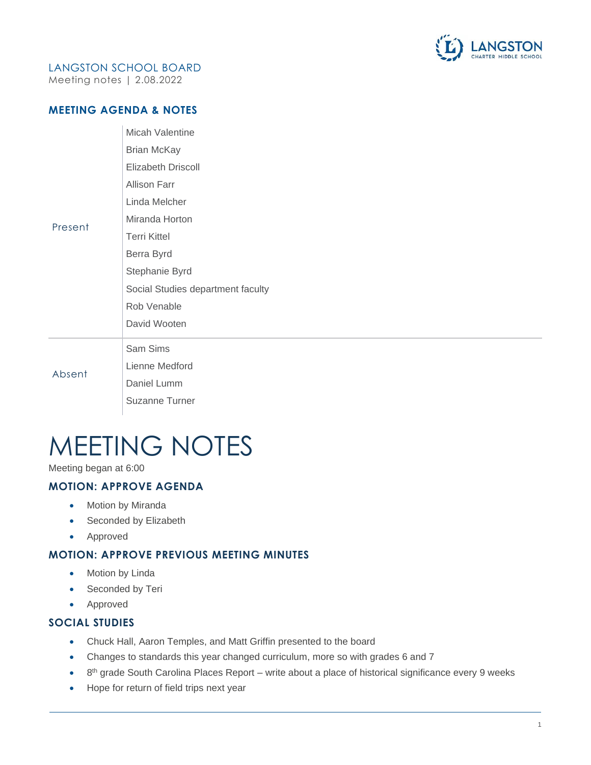

# LANGSTON SCHOOL BOARD

Meeting notes | 2.08.2022

## **MEETING AGENDA & NOTES**

| Present | Micah Valentine                   |
|---------|-----------------------------------|
|         | Brian McKay                       |
|         | <b>Elizabeth Driscoll</b>         |
|         | <b>Allison Farr</b>               |
|         | Linda Melcher                     |
|         | Miranda Horton                    |
|         | <b>Terri Kittel</b>               |
|         | Berra Byrd                        |
|         | Stephanie Byrd                    |
|         | Social Studies department faculty |
|         | Rob Venable                       |
|         | David Wooten                      |
| Absent  | Sam Sims                          |
|         | Lienne Medford                    |
|         | Daniel Lumm                       |

Suzanne Turner

# MEETING NOTES

Meeting began at 6:00

# **MOTION: APPROVE AGENDA**

- Motion by Miranda
- Seconded by Elizabeth
- Approved

## **MOTION: APPROVE PREVIOUS MEETING MINUTES**

- Motion by Linda
- Seconded by Teri
- Approved

#### **SOCIAL STUDIES**

- Chuck Hall, Aaron Temples, and Matt Griffin presented to the board
- Changes to standards this year changed curriculum, more so with grades 6 and 7
- $\bullet$  8<sup>th</sup> grade South Carolina Places Report write about a place of historical significance every 9 weeks
- Hope for return of field trips next year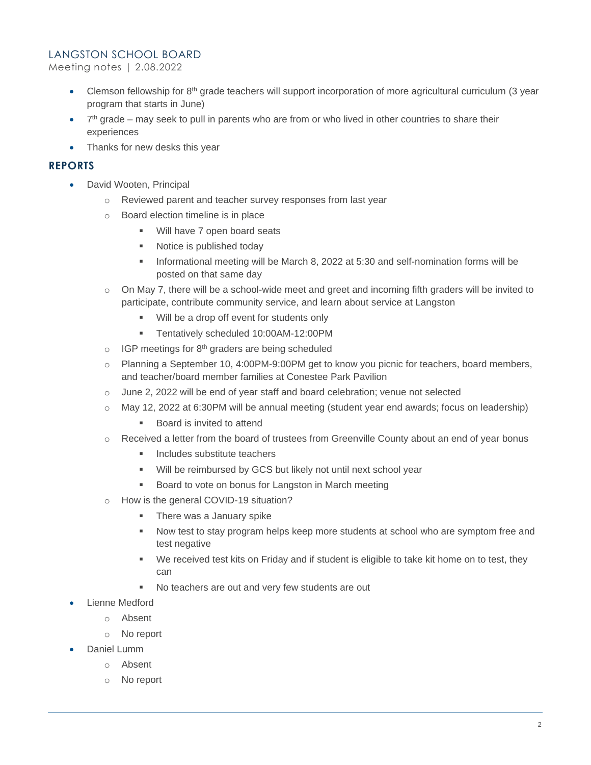#### LANGSTON SCHOOL BOARD

Meeting notes | 2.08.2022

- Clemson fellowship for  $8<sup>th</sup>$  grade teachers will support incorporation of more agricultural curriculum (3 year program that starts in June)
- $\bullet$  7<sup>th</sup> grade may seek to pull in parents who are from or who lived in other countries to share their experiences
- Thanks for new desks this year

### **REPORTS**

- David Wooten, Principal
	- o Reviewed parent and teacher survey responses from last year
	- o Board election timeline is in place
		- Will have 7 open board seats
		- Notice is published today
		- **•** Informational meeting will be March 8, 2022 at 5:30 and self-nomination forms will be posted on that same day
	- $\circ$  On May 7, there will be a school-wide meet and greet and incoming fifth graders will be invited to participate, contribute community service, and learn about service at Langston
		- Will be a drop off event for students only
		- Tentatively scheduled 10:00AM-12:00PM
	- $\circ$  IGP meetings for 8<sup>th</sup> graders are being scheduled
	- $\circ$  Planning a September 10, 4:00PM-9:00PM get to know you picnic for teachers, board members, and teacher/board member families at Conestee Park Pavilion
	- $\circ$  June 2, 2022 will be end of year staff and board celebration; venue not selected
	- $\circ$  May 12, 2022 at 6:30PM will be annual meeting (student year end awards; focus on leadership)
		- Board is invited to attend
	- $\circ$  Received a letter from the board of trustees from Greenville County about an end of year bonus
		- Includes substitute teachers
		- Will be reimbursed by GCS but likely not until next school year
		- Board to vote on bonus for Langston in March meeting
	- o How is the general COVID-19 situation?
		- **There was a January spike**
		- **■** Now test to stay program helps keep more students at school who are symptom free and test negative
		- We received test kits on Friday and if student is eligible to take kit home on to test, they can
		- No teachers are out and very few students are out
- Lienne Medford
	- o Absent
	- o No report
- Daniel Lumm
	- o Absent
	- o No report